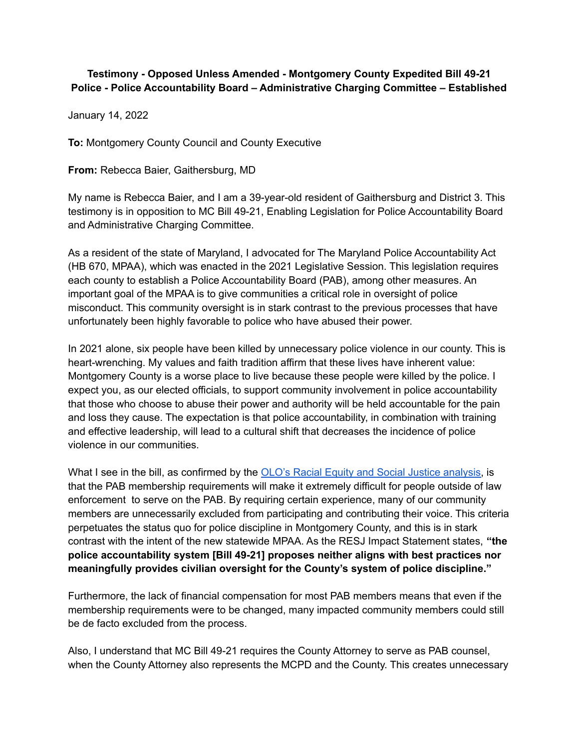## **Testimony - Opposed Unless Amended - Montgomery County Expedited Bill 49-21 Police - Police Accountability Board – Administrative Charging Committee – Established**

January 14, 2022

**To:** Montgomery County Council and County Executive

**From:** Rebecca Baier, Gaithersburg, MD

My name is Rebecca Baier, and I am a 39-year-old resident of Gaithersburg and District 3. This testimony is in opposition to MC Bill 49-21, Enabling Legislation for Police Accountability Board and Administrative Charging Committee.

As a resident of the state of Maryland, I advocated for The Maryland Police Accountability Act (HB 670, MPAA), which was enacted in the 2021 Legislative Session. This legislation requires each county to establish a Police Accountability Board (PAB), among other measures. An important goal of the MPAA is to give communities a critical role in oversight of police misconduct. This community oversight is in stark contrast to the previous processes that have unfortunately been highly favorable to police who have abused their power.

In 2021 alone, six people have been killed by unnecessary police violence in our county. This is heart-wrenching. My values and faith tradition affirm that these lives have inherent value: Montgomery County is a worse place to live because these people were killed by the police. I expect you, as our elected officials, to support community involvement in police accountability that those who choose to abuse their power and authority will be held accountable for the pain and loss they cause. The expectation is that police accountability, in combination with training and effective leadership, will lead to a cultural shift that decreases the incidence of police violence in our communities.

What I see in the bill, as confirmed by the OLO's Racial Equity and Social Justice analysis, is that the PAB membership requirements will make it extremely difficult for people outside of law enforcement to serve on the PAB. By requiring certain experience, many of our community members are unnecessarily excluded from participating and contributing their voice. This criteria perpetuates the status quo for police discipline in Montgomery County, and this is in stark contrast with the intent of the new statewide MPAA. As the RESJ Impact Statement states, **"the police accountability system [Bill 49-21] proposes neither aligns with best practices nor meaningfully provides civilian oversight for the County's system of police discipline."**

Furthermore, the lack of financial compensation for most PAB members means that even if the membership requirements were to be changed, many impacted community members could still be de facto excluded from the process.

Also, I understand that MC Bill 49-21 requires the County Attorney to serve as PAB counsel, when the County Attorney also represents the MCPD and the County. This creates unnecessary